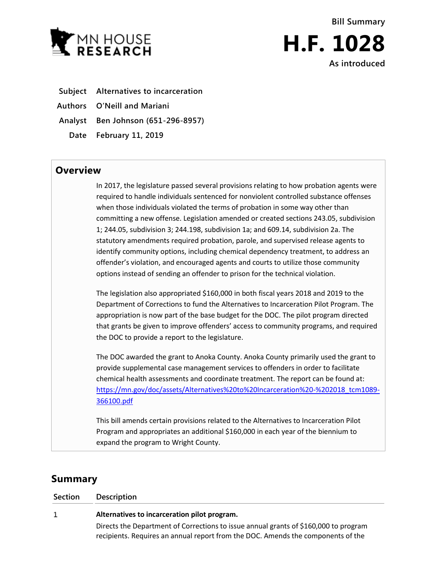



- **Subject Alternatives to incarceration**
- **Authors O'Neill and Mariani**

**Analyst Ben Johnson (651-296-8957)**

**Date February 11, 2019**

## **Overview**

In 2017, the legislature passed several provisions relating to how probation agents were required to handle individuals sentenced for nonviolent controlled substance offenses when those individuals violated the terms of probation in some way other than committing a new offense. Legislation amended or created sections 243.05, subdivision 1; 244.05, subdivision 3; 244.198, subdivision 1a; and 609.14, subdivision 2a. The statutory amendments required probation, parole, and supervised release agents to identify community options, including chemical dependency treatment, to address an offender's violation, and encouraged agents and courts to utilize those community options instead of sending an offender to prison for the technical violation.

The legislation also appropriated \$160,000 in both fiscal years 2018 and 2019 to the Department of Corrections to fund the Alternatives to Incarceration Pilot Program. The appropriation is now part of the base budget for the DOC. The pilot program directed that grants be given to improve offenders' access to community programs, and required the DOC to provide a report to the legislature.

The DOC awarded the grant to Anoka County. Anoka County primarily used the grant to provide supplemental case management services to offenders in order to facilitate chemical health assessments and coordinate treatment. The report can be found at: [https://mn.gov/doc/assets/Alternatives%20to%20Incarceration%20-%202018\\_tcm1089-](https://mn.gov/doc/assets/Alternatives%20to%20Incarceration%20-%202018_tcm1089-366100.pdf) [366100.pdf](https://mn.gov/doc/assets/Alternatives%20to%20Incarceration%20-%202018_tcm1089-366100.pdf)

This bill amends certain provisions related to the Alternatives to Incarceration Pilot Program and appropriates an additional \$160,000 in each year of the biennium to expand the program to Wright County.

## **Summary**

**Section Description**

| <b>SECUPIL</b> | <b>DESCRIPTION</b>                                                                                                                                                       |
|----------------|--------------------------------------------------------------------------------------------------------------------------------------------------------------------------|
| 1              | Alternatives to incarceration pilot program.                                                                                                                             |
|                | Directs the Department of Corrections to issue annual grants of \$160,000 to program<br>recipients. Requires an annual report from the DOC. Amends the components of the |